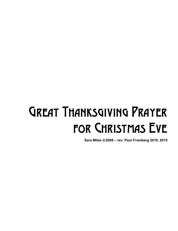## Great Thanksgiving Prayer for Christmas Eve

**Sara Miles** ©**2008 – rev. Paul Fromberg 2010, 2015**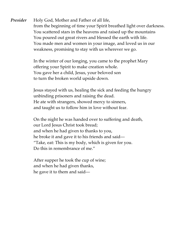*Presider* Holy God, Mother and Father of all life, from the beginning of time your Spirit breathed light over darkness. You scattered stars in the heavens and raised up the mountains You poured out great rivers and blessed the earth with life. You made men and women in your image, and loved us in our weakness, promising to stay with us wherever we go.

> In the winter of our longing, you came to the prophet Mary offering your Spirit to make creation whole. You gave her a child, Jesus, your beloved son to turn the broken world upside down.

Jesus stayed with us, healing the sick and feeding the hungry unbinding prisoners and raising the dead. He ate with strangers, showed mercy to sinners, and taught us to follow him in love without fear.

On the night he was handed over to suffering and death, our Lord Jesus Christ took bread; and when he had given to thanks to you, he broke it and gave it to his friends and said— "Take, eat: This is my body, which is given for you. Do this in remembrance of me."

After supper he took the cup of wine; and when he had given thanks, he gave it to them and said—